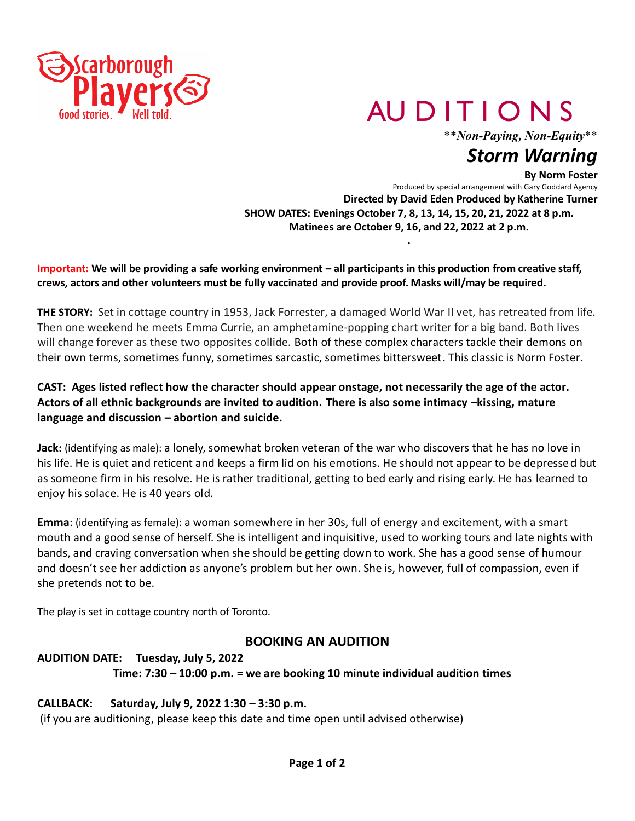

# AU D IT I O N S

\*\**Non-Paying, Non-Equity*\*\*

# *Storm Warning*

#### **By Norm Foster**

Produced by special arrangement with Gary Goddard Agency **Directed by David Eden Produced by Katherine Turner SHOW DATES: Evenings October 7, 8, 13, 14, 15, 20, 21, 2022 at 8 p.m. Matinees are October 9, 16, and 22, 2022 at 2 p.m.**

**.**

**Important: We will be providing a safe working environment – all participants in this production from creative staff, crews, actors and other volunteers must be fully vaccinated and provide proof. Masks will/may be required.**

**THE STORY:** Set in cottage country in 1953, Jack Forrester, a damaged World War II vet, has retreated from life. Then one weekend he meets Emma Currie, an amphetamine-popping chart writer for a big band. Both lives will change forever as these two opposites collide. Both of these complex characters tackle their demons on their own terms, sometimes funny, sometimes sarcastic, sometimes bittersweet. This classic is Norm Foster.

#### **CAST: Ages listed reflect how the character should appear onstage, not necessarily the age of the actor. Actors of all ethnic backgrounds are invited to audition. There is also some intimacy –kissing, mature language and discussion – abortion and suicide.**

**Jack**: (identifying as male): a lonely, somewhat broken veteran of the war who discovers that he has no love in his life. He is quiet and reticent and keeps a firm lid on his emotions. He should not appear to be depressed but as someone firm in his resolve. He is rather traditional, getting to bed early and rising early. He has learned to enjoy his solace. He is 40 years old.

**Emma**: (identifying as female): a woman somewhere in her 30s, full of energy and excitement, with a smart mouth and a good sense of herself. She is intelligent and inquisitive, used to working tours and late nights with bands, and craving conversation when she should be getting down to work. She has a good sense of humour and doesn't see her addiction as anyone's problem but her own. She is, however, full of compassion, even if she pretends not to be.

The play is set in cottage country north of Toronto.

#### **BOOKING AN AUDITION**

## **AUDITION DATE: Tuesday, July 5, 2022 Time: 7:30 – 10:00 p.m. = we are booking 10 minute individual audition times**

#### **CALLBACK: Saturday, July 9, 2022 1:30 – 3:30 p.m.**

(if you are auditioning, please keep this date and time open until advised otherwise)